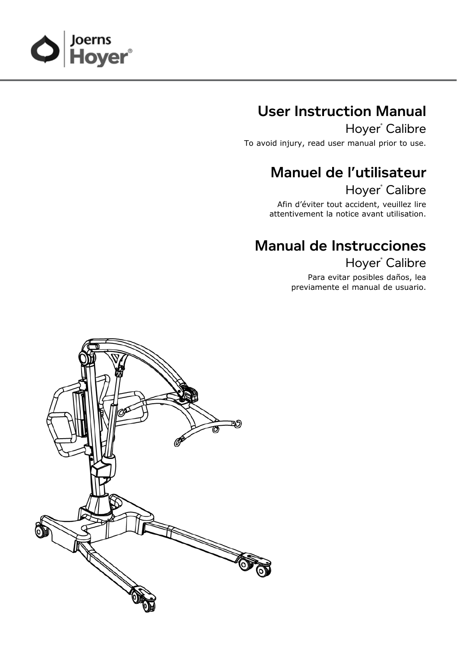

# User Instruction Manual

Hoyer<sup>®</sup> Calibre

To avoid injury, read user manual prior to use.

## Manuel de l'utilisateur Hoyer<sup>®</sup> Calibre

Afin d'éviter tout accident, veuillez lire attentivement la notice avant utilisation.

# Manual de Instrucciones

Hoyer<sup>®</sup> Calibre

Para evitar posibles daños, lea previamente el manual de usuario.

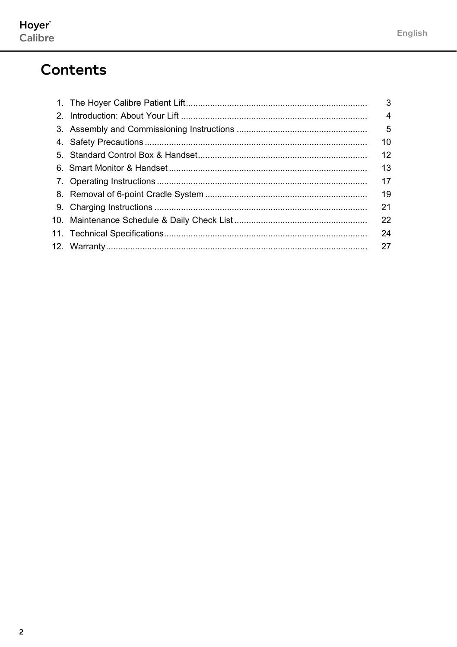# Contents

|  | 3  |
|--|----|
|  | 4  |
|  | 5  |
|  | 10 |
|  | 12 |
|  | 13 |
|  | 17 |
|  | 19 |
|  | 21 |
|  | 22 |
|  | 24 |
|  | 27 |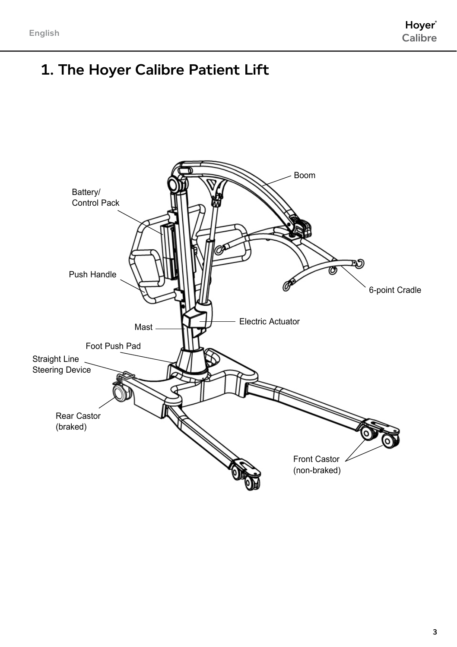Hoyer® Calibre

## 1. The Hoyer Calibre Patient Lift

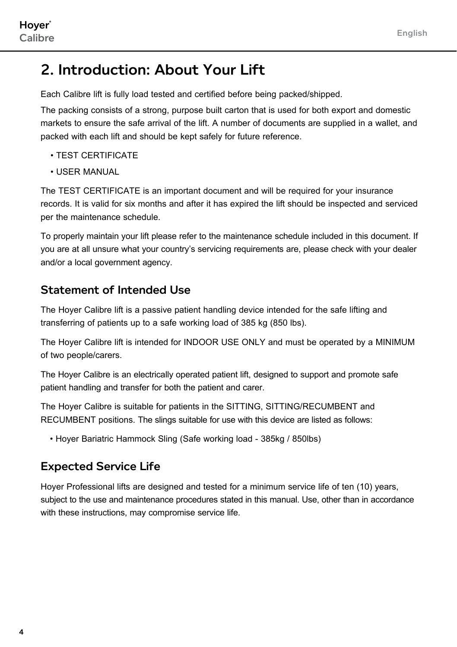# 2. Introduction: About Your Lift

Each Calibre lift is fully load tested and certified before being packed/shipped.

The packing consists of a strong, purpose built carton that is used for both export and domestic markets to ensure the safe arrival of the lift. A number of documents are supplied in a wallet, and packed with each lift and should be kept safely for future reference.

- TEST CERTIFICATE
- USER MANUAL

The TEST CERTIFICATE is an important document and will be required for your insurance records. It is valid for six months and after it has expired the lift should be inspected and serviced per the maintenance schedule.

To properly maintain your lift please refer to the maintenance schedule included in this document. If you are at all unsure what your country's servicing requirements are, please check with your dealer and/or a local government agency.

### Statement of Intended Use

The Hoyer Calibre lift is a passive patient handling device intended for the safe lifting and transferring of patients up to a safe working load of 385 kg (850 lbs).

The Hoyer Calibre lift is intended for INDOOR USE ONLY and must be operated by a MINIMUM of two people/carers.

The Hoyer Calibre is an electrically operated patient lift, designed to support and promote safe patient handling and transfer for both the patient and carer.

The Hoyer Calibre is suitable for patients in the SITTING, SITTING/RECUMBENT and RECUMBENT positions. The slings suitable for use with this device are listed as follows:

• Hoyer Bariatric Hammock Sling (Safe working load - 385kg / 850lbs)

### Expected Service Life

Hoyer Professional lifts are designed and tested for a minimum service life of ten (10) years, subject to the use and maintenance procedures stated in this manual. Use, other than in accordance with these instructions, may compromise service life.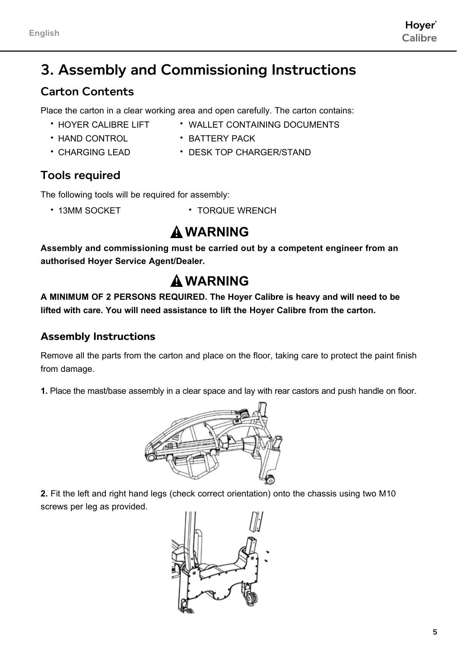# 3. Assembly and Commissioning Instructions

### Carton Contents

Place the carton in a clear working area and open carefully. The carton contains:

- 
- HOYER CALIBRE LIFT WALLET CONTAINING DOCUMENTS
- HAND CONTROL BATTERY PACK
- 
- 
- CHARGING LEAD DESK TOP CHARGER/STAND

### Tools required

The following tools will be required for assembly:

- 13MM SOCKET TORQUE WRENCH
	- **Warning**

**Assembly and commissioning must be carried out by a competent engineer from an authorised Hoyer Service Agent/Dealer.**

# **Warning**

**A minimum of 2 persons required. The Hoyer Calibre is heavy and will need to be lifted with care. You will need assistance to lift the Hoyer Calibre from the carton.**

### **Assembly Instructions**

Remove all the parts from the carton and place on the floor, taking care to protect the paint finish from damage.

**1.** Place the mast/base assembly in a clear space and lay with rear castors and push handle on floor.





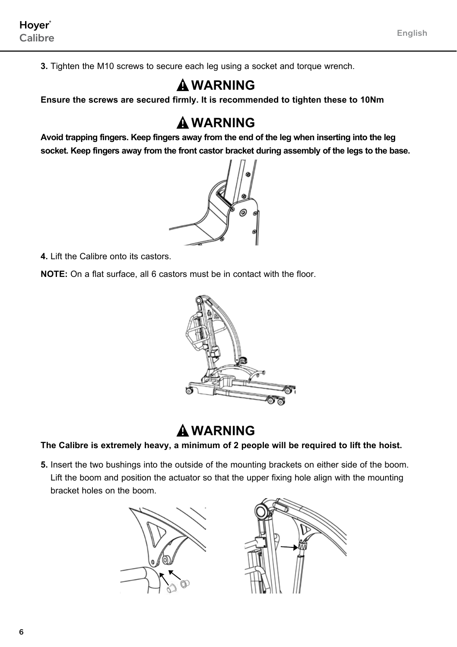**3.** Tighten the M10 screws to secure each leg using a socket and torque wrench.

# **Warning**

 **Ensure the screws are secured firmly. It is recommended to tighten these to 10Nm**

# **Warning**

**Avoid trapping fingers. Keep fingers away from the end of the leg when inserting into the leg socket. Keep fingers away from the front castor bracket during assembly of the legs to the base.**



- **4.** Lift the Calibre onto its castors.
- **NOTE:** On a flat surface, all 6 castors must be in contact with the floor.



## **Warning**

#### **The Calibre is extremely heavy, a minimum of 2 people will be required to lift the hoist.**

**5.** Insert the two bushings into the outside of the mounting brackets on either side of the boom. Lift the boom and position the actuator so that the upper fixing hole align with the mounting bracket holes on the boom.



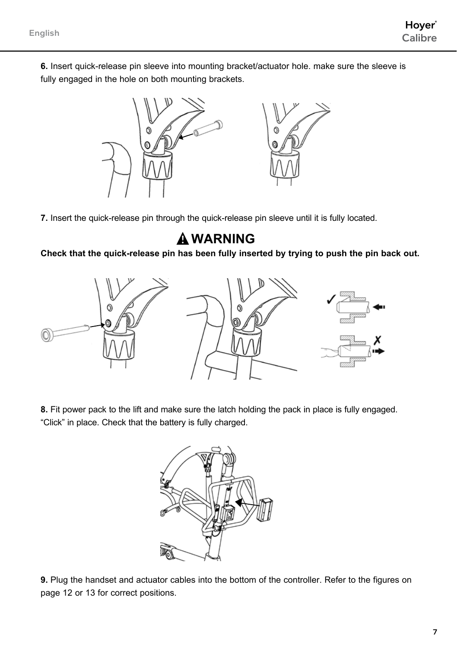**6.** Insert quick-release pin sleeve into mounting bracket/actuator hole. make sure the sleeve is fully engaged in the hole on both mounting brackets.



**7.** Insert the quick-release pin through the quick-release pin sleeve until it is fully located.

## **Warning**

**Check that the quick-release pin has been fully inserted by trying to push the pin back out.**



**8.** Fit power pack to the lift and make sure the latch holding the pack in place is fully engaged. "Click" in place. Check that the battery is fully charged.



**9.** Plug the handset and actuator cables into the bottom of the controller. Refer to the figures on page 12 or 13 for correct positions.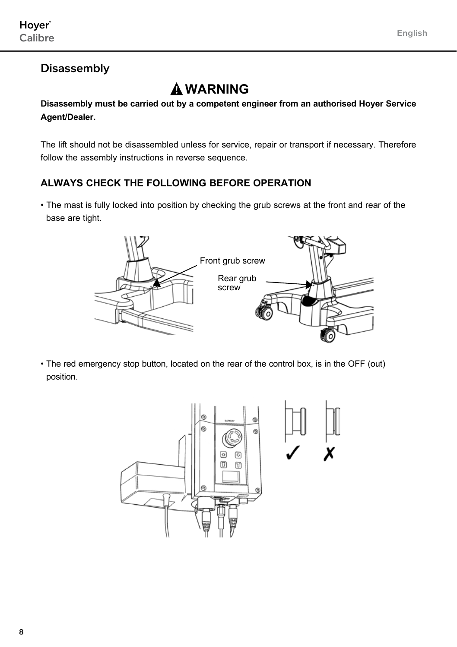### **Disassembly**

# **Warning**

#### **Disassembly must be carried out by a competent engineer from an authorised Hoyer Service Agent/Dealer.**

The lift should not be disassembled unless for service, repair or transport if necessary. Therefore follow the assembly instructions in reverse sequence.

### **ALWAYS CHECK THE FOLLOWING BEFORE OPERATION**

• The mast is fully locked into position by checking the grub screws at the front and rear of the base are tight.



• The red emergency stop button, located on the rear of the control box, is in the OFF (out) position.

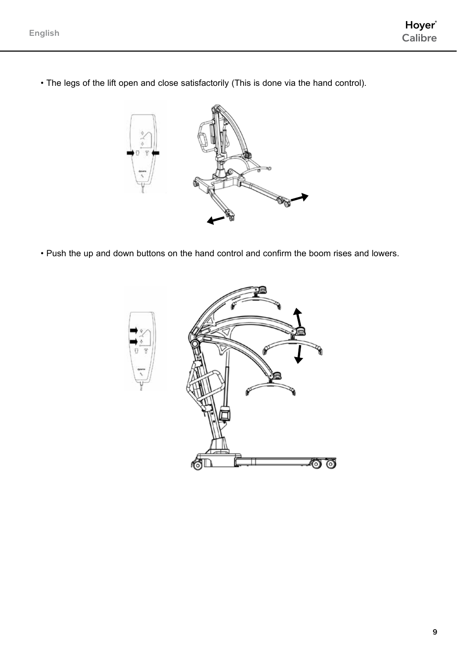• The legs of the lift open and close satisfactorily (This is done via the hand control).



• Push the up and down buttons on the hand control and confirm the boom rises and lowers.

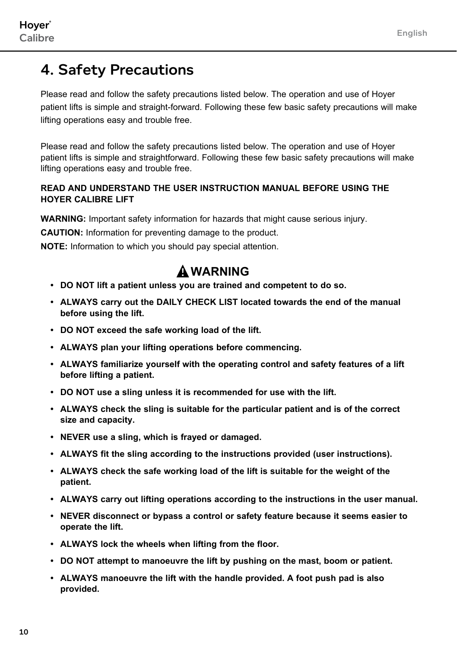## 4. Safety Precautions

Please read and follow the safety precautions listed below. The operation and use of Hoyer patient lifts is simple and straight-forward. Following these few basic safety precautions will make lifting operations easy and trouble free.

Please read and follow the safety precautions listed below. The operation and use of Hoyer patient lifts is simple and straightforward. Following these few basic safety precautions will make lifting operations easy and trouble free.

#### **READ AND UNDERSTAND THE USER INSTRUCTION MANUAL BEFORE USING THE HOYER CALIBRE LIFT**

**WARNING:** Important safety information for hazards that might cause serious injury.

**CAUTION:** Information for preventing damage to the product.

**NOTE:** Information to which you should pay special attention.

## **WARNING**

- **• DO NOT lift a patient unless you are trained and competent to do so.**
- **• ALWAYS carry out the DAILY CHECK LIST located towards the end of the manual before using the lift.**
- **• DO NOT exceed the safe working load of the lift.**
- **ALWAYS plan your lifting operations before commencing.**
- **ALWAYS familiarize yourself with the operating control and safety features of a lift before lifting a patient.**
- **• DO NOT use a sling unless it is recommended for use with the lift.**
- **ALWAYS check the sling is suitable for the particular patient and is of the correct size and capacity.**
- **NEVER use a sling, which is frayed or damaged.**
- **ALWAYS fit the sling according to the instructions provided (user instructions).**
- **ALWAYS check the safe working load of the lift is suitable for the weight of the patient.**
- **ALWAYS carry out lifting operations according to the instructions in the user manual.**
- **NEVER disconnect or bypass a control or safety feature because it seems easier to operate the lift.**
- **• ALWAYS lock the wheels when lifting from the floor.**
- **• DO NOT attempt to manoeuvre the lift by pushing on the mast, boom or patient.**
- **• ALWAYS manoeuvre the lift with the handle provided. A foot push pad is also provided.**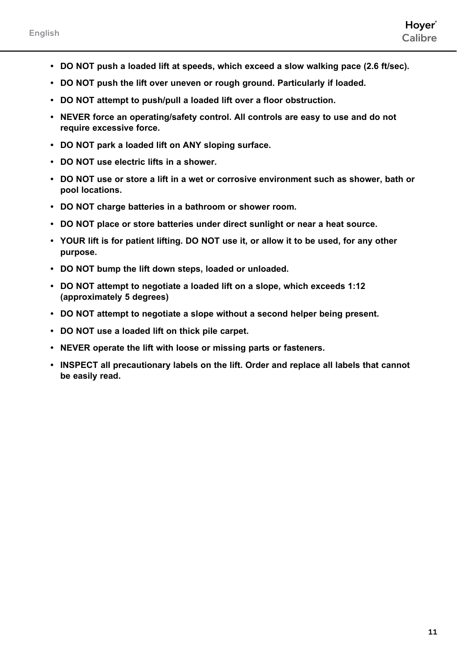- **• DO NOT push a loaded lift at speeds, which exceed a slow walking pace (2.6 ft/sec).**
- **• DO NOT push the lift over uneven or rough ground. Particularly if loaded.**
- **• DO NOT attempt to push/pull a loaded lift over a floor obstruction.**
- **• NEVER force an operating/safety control. All controls are easy to use and do not require excessive force.**
- **• DO NOT park a loaded lift on ANY sloping surface.**
- **• DO NOT use electric lifts in a shower.**
- **• DO NOT use or store a lift in a wet or corrosive environment such as shower, bath or pool locations.**
- **• DO NOT charge batteries in a bathroom or shower room.**
- **• DO NOT place or store batteries under direct sunlight or near a heat source.**
- **• YOUR lift is for patient lifting. DO NOT use it, or allow it to be used, for any other purpose.**
- **• DO NOT bump the lift down steps, loaded or unloaded.**
- **• DO NOT attempt to negotiate a loaded lift on a slope, which exceeds 1:12 (approximately 5 degrees)**
- **• DO NOT attempt to negotiate a slope without a second helper being present.**
- **• DO NOT use a loaded lift on thick pile carpet.**
- **• NEVER operate the lift with loose or missing parts or fasteners.**
- **• INSPECT all precautionary labels on the lift. Order and replace all labels that cannot be easily read.**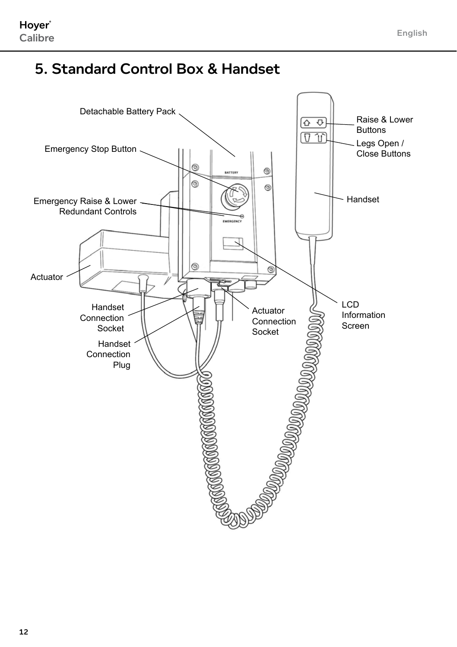# 5. Standard Control Box & Handset

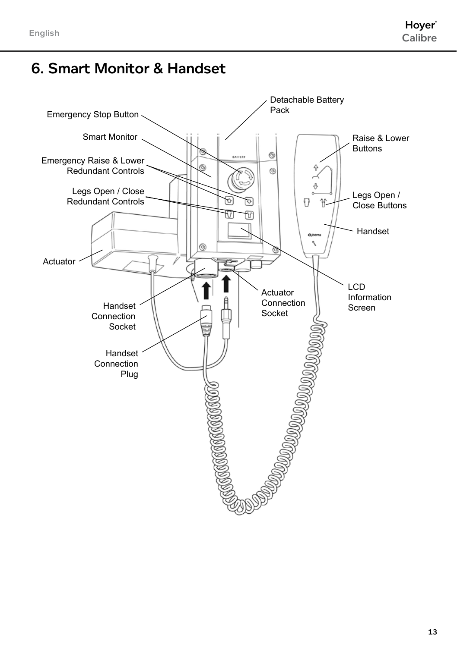# 6. Smart Monitor & Handset

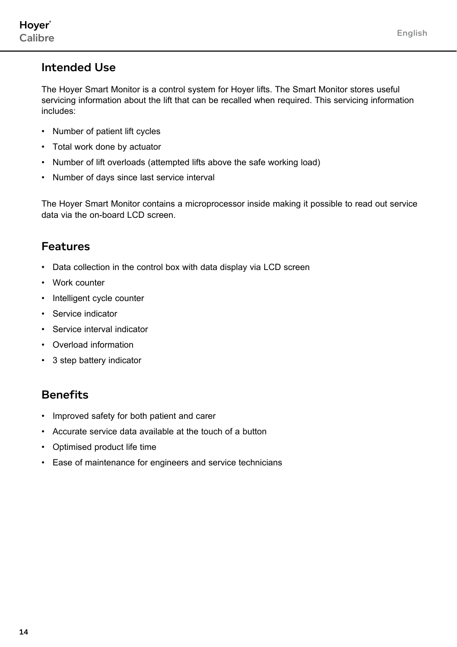### Intended Use

The Hoyer Smart Monitor is a control system for Hoyer lifts. The Smart Monitor stores useful servicing information about the lift that can be recalled when required. This servicing information includes:

- Number of patient lift cycles
- Total work done by actuator
- Number of lift overloads (attempted lifts above the safe working load)
- Number of days since last service interval

The Hoyer Smart Monitor contains a microprocessor inside making it possible to read out service data via the on-board LCD screen.

### Features

- Data collection in the control box with data display via LCD screen
- Work counter
- Intelligent cycle counter
- Service indicator
- Service interval indicator
- Overload information
- 3 step battery indicator

### **Benefits**

- Improved safety for both patient and carer
- Accurate service data available at the touch of a button
- Optimised product life time
- Ease of maintenance for engineers and service technicians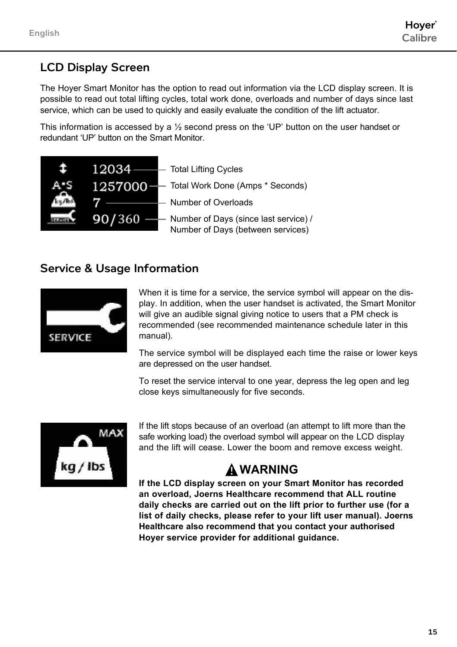### LCD Display Screen

The Hoyer Smart Monitor has the option to read out information via the LCD display screen. It is possible to read out total lifting cycles, total work done, overloads and number of days since last service, which can be used to quickly and easily evaluate the condition of the lift actuator.

This information is accessed by a  $\frac{1}{2}$  second press on the 'UP' button on the user handset or redundant 'UP' button on the Smart Monitor.



### Service & Usage Information



When it is time for a service, the service symbol will appear on the display. In addition, when the user handset is activated, the Smart Monitor will give an audible signal giving notice to users that a PM check is recommended (see recommended maintenance schedule later in this manual).

The service symbol will be displayed each time the raise or lower keys are depressed on the user handset.

To reset the service interval to one year, depress the leg open and leg close keys simultaneously for five seconds.



If the lift stops because of an overload (an attempt to lift more than the safe working load) the overload symbol will appear on the LCD display and the lift will cease. Lower the boom and remove excess weight.

## **WARNING**

**If the LCD display screen on your Smart Monitor has recorded an overload, Joerns Healthcare recommend that ALL routine daily checks are carried out on the lift prior to further use (for a list of daily checks, please refer to your lift user manual). Joerns Healthcare also recommend that you contact your authorised Hoyer service provider for additional guidance.**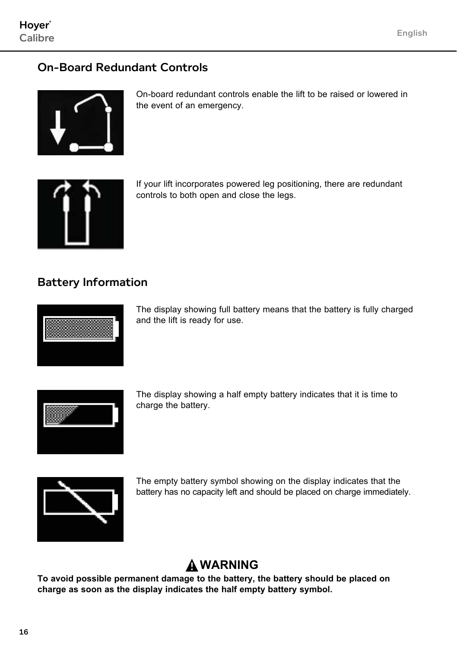### On-Board Redundant Controls



On-board redundant controls enable the lift to be raised or lowered in the event of an emergency.



If your lift incorporates powered leg positioning, there are redundant controls to both open and close the legs.

### Battery Information



The display showing full battery means that the battery is fully charged and the lift is ready for use.



The display showing a half empty battery indicates that it is time to charge the battery.



The empty battery symbol showing on the display indicates that the battery has no capacity left and should be placed on charge immediately.

## **WARNING**

**To avoid possible permanent damage to the battery, the battery should be placed on charge as soon as the display indicates the half empty battery symbol.**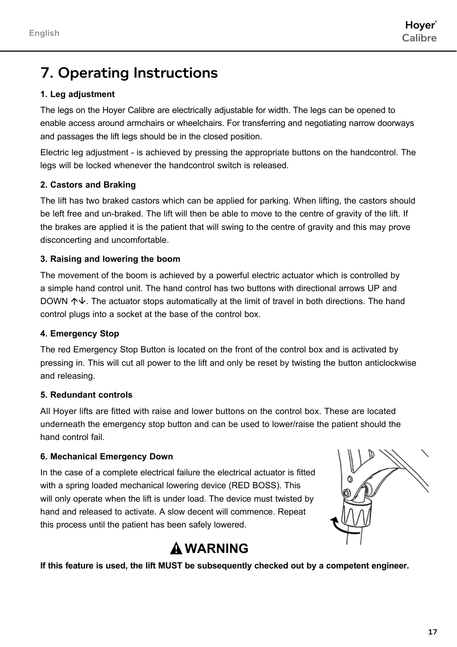# 7. Operating Instructions

#### **1. Leg adjustment**

The legs on the Hoyer Calibre are electrically adjustable for width. The legs can be opened to enable access around armchairs or wheelchairs. For transferring and negotiating narrow doorways and passages the lift legs should be in the closed position.

Electric leg adjustment - is achieved by pressing the appropriate buttons on the handcontrol. The legs will be locked whenever the handcontrol switch is released.

#### **2. Castors and Braking**

The lift has two braked castors which can be applied for parking. When lifting, the castors should be left free and un-braked. The lift will then be able to move to the centre of gravity of the lift. If the brakes are applied it is the patient that will swing to the centre of gravity and this may prove disconcerting and uncomfortable.

#### **3. Raising and lowering the boom**

The movement of the boom is achieved by a powerful electric actuator which is controlled by a simple hand control unit. The hand control has two buttons with directional arrows UP and DOWN  $\uparrow\downarrow$ . The actuator stops automatically at the limit of travel in both directions. The hand control plugs into a socket at the base of the control box.

#### **4. Emergency Stop**

The red Emergency Stop Button is located on the front of the control box and is activated by pressing in. This will cut all power to the lift and only be reset by twisting the button anticlockwise and releasing.

#### **5. Redundant controls**

All Hoyer lifts are fitted with raise and lower buttons on the control box. These are located underneath the emergency stop button and can be used to lower/raise the patient should the hand control fail.

#### **6. Mechanical Emergency Down**

In the case of a complete electrical failure the electrical actuator is fitted with a spring loaded mechanical lowering device (RED BOSS). This will only operate when the lift is under load. The device must twisted by hand and released to activate. A slow decent will commence. Repeat this process until the patient has been safely lowered.



# **Warning**

**If this feature is used, the lift MUST be subsequently checked out by a competent engineer.**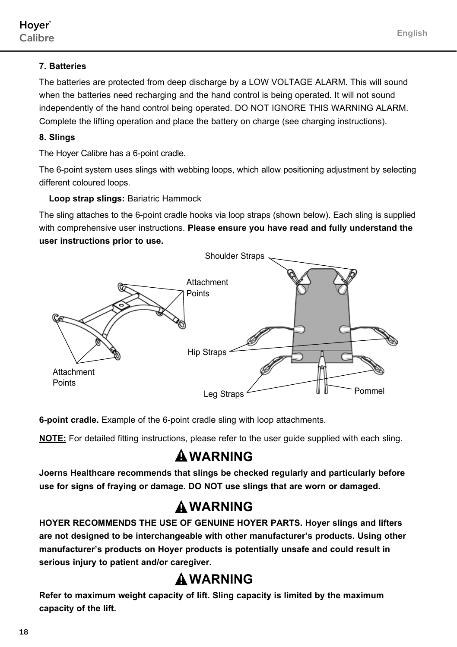#### **7. Batteries**

The batteries are protected from deep discharge by a LOW VOLTAGE ALARM. This will sound when the batteries need recharging and the hand control is being operated. It will not sound independently of the hand control being operated. DO NOT IGNORE THIS WARNING ALARM. Complete the lifting operation and place the battery on charge (see charging instructions).

#### **8. Slings**

The Hoyer Calibre has a 6-point cradle.

The 6-point system uses slings with webbing loops, which allow positioning adjustment by selecting different coloured loops.

#### **Loop strap slings:** Bariatric Hammock

The sling attaches to the 6-point cradle hooks via loop straps (shown below). Each sling is supplied with comprehensive user instructions. **Please ensure you have read and fully understand the user instructions prior to use.**



**6-point cradle.** Example of the 6-point cradle sling with loop attachments.

**NOTE:** For detailed fitting instructions, please refer to the user guide supplied with each sling.

# **WARNING**

**Joerns Healthcare recommends that slings be checked regularly and particularly before use for signs of fraying or damage. DO NOT use slings that are worn or damaged.**

# **WARNING**

**HOYER RECOMMENDS THE USE OF GENUINE HOYER PARTS. Hoyer slings and lifters are not designed to be interchangeable with other manufacturer's products. Using other manufacturer's products on Hoyer products is potentially unsafe and could result in serious injury to patient and/or caregiver.**

# **WARNING**

**Refer to maximum weight capacity of lift. Sling capacity is limited by the maximum capacity of the lift.**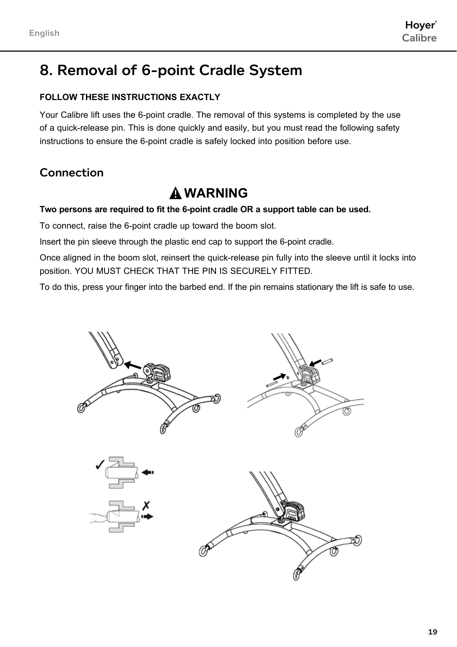# 8. Removal of 6-point Cradle System

#### **FOLLOW THESE INSTRuCTIONS EXACTLY**

Your Calibre lift uses the 6-point cradle. The removal of this systems is completed by the use of a quick-release pin. This is done quickly and easily, but you must read the following safety instructions to ensure the 6-point cradle is safely locked into position before use.

### Connection

# **Warning**

**Two persons are required to fit the 6-point cradle OR a support table can be used.**

To connect, raise the 6-point cradle up toward the boom slot.

Insert the pin sleeve through the plastic end cap to support the 6-point cradle.

Once aligned in the boom slot, reinsert the quick-release pin fully into the sleeve until it locks into position. YOU MUST CHECK THAT THE PIN IS SECURELY FITTED.

To do this, press your finger into the barbed end. If the pin remains stationary the lift is safe to use.

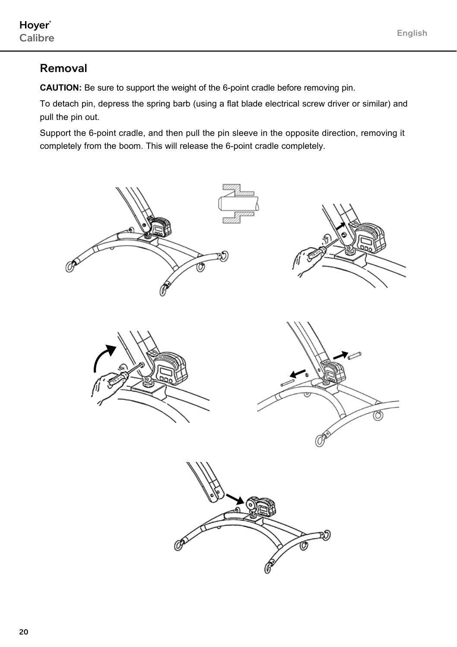### Removal

**Caution:** Be sure to support the weight of the 6-point cradle before removing pin.

To detach pin, depress the spring barb (using a flat blade electrical screw driver or similar) and pull the pin out.

Support the 6-point cradle, and then pull the pin sleeve in the opposite direction, removing it completely from the boom. This will release the 6-point cradle completely.









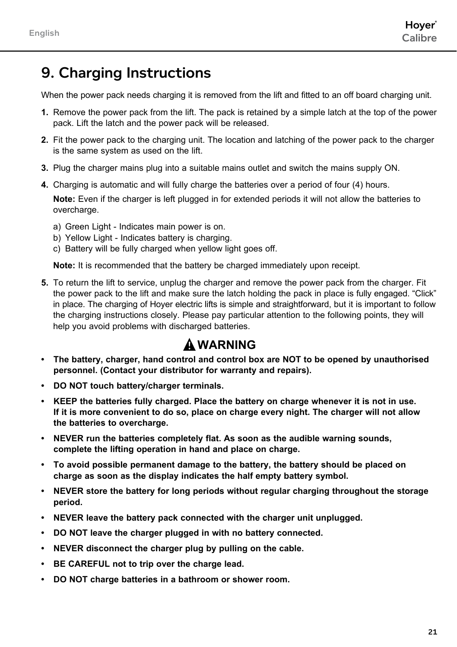# 9. Charging Instructions

When the power pack needs charging it is removed from the lift and fitted to an off board charging unit.

- **1.** Remove the power pack from the lift. The pack is retained by a simple latch at the top of the power pack. Lift the latch and the power pack will be released.
- **2.** Fit the power pack to the charging unit. The location and latching of the power pack to the charger is the same system as used on the lift.
- **3.** Plug the charger mains plug into a suitable mains outlet and switch the mains supply ON.
- **4.** Charging is automatic and will fully charge the batteries over a period of four (4) hours.

**Note:** Even if the charger is left plugged in for extended periods it will not allow the batteries to overcharge.

- a) Green Light Indicates main power is on.
- b) Yellow Light Indicates battery is charging.
- c) Battery will be fully charged when yellow light goes off.

**Note:** It is recommended that the battery be charged immediately upon receipt.

**5.** To return the lift to service, unplug the charger and remove the power pack from the charger. Fit the power pack to the lift and make sure the latch holding the pack in place is fully engaged. "Click" in place. The charging of Hoyer electric lifts is simple and straightforward, but it is important to follow the charging instructions closely. Please pay particular attention to the following points, they will help you avoid problems with discharged batteries.

## **WARNING**

- **• The battery, charger, hand control and control box are NOT to be opened by unauthorised personnel. (Contact your distributor for warranty and repairs).**
- **• DO NOT touch battery/charger terminals.**
- **• KEEP the batteries fully charged. Place the battery on charge whenever it is not in use. If it is more convenient to do so, place on charge every night. The charger will not allow the batteries to overcharge.**
- **NEVER run the batteries completely flat. As soon as the audible warning sounds, complete the lifting operation in hand and place on charge.**
- **• To avoid possible permanent damage to the battery, the battery should be placed on charge as soon as the display indicates the half empty battery symbol.**
- **NEVER store the battery for long periods without regular charging throughout the storage period.**
- **NEVER leave the battery pack connected with the charger unit unplugged.**
- **• Do NOT leave the charger plugged in with no battery connected.**
- **NEVER disconnect the charger plug by pulling on the cable.**
- **• Be careful not to trip over the charge lead.**
- **• Do not charge batteries in a bathroom or shower room.**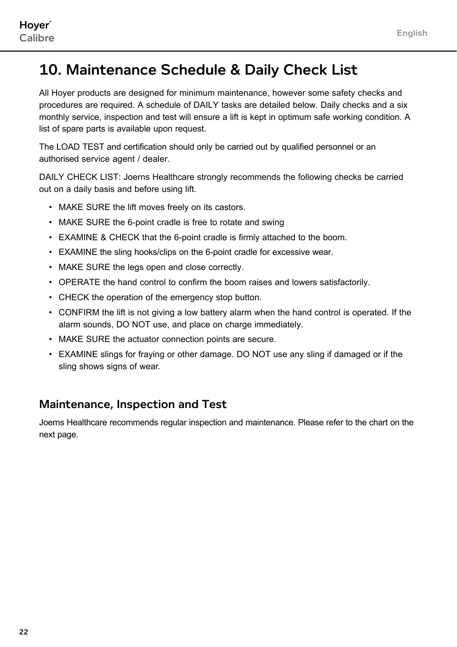# 10. Maintenance Schedule & Daily Check List

All Hoyer products are designed for minimum maintenance, however some safety checks and procedures are required. A schedule of DAILY tasks are detailed below. Daily checks and a six monthly service, inspection and test will ensure a lift is kept in optimum safe working condition. A list of spare parts is available upon request.

The LOAD TEST and certification should only be carried out by qualified personnel or an authorised service agent / dealer.

DAILY CHECK LIST: Joerns Healthcare strongly recommends the following checks be carried out on a daily basis and before using lift.

- MAKE SURE the lift moves freely on its castors.
- MAKE SURE the 6-point cradle is free to rotate and swing
- EXAMINE & CHECK that the 6-point cradle is firmly attached to the boom.
- EXAMINE the sling hooks/clips on the 6-point cradle for excessive wear.
- MAKE SURE the legs open and close correctly.
- OPERATE the hand control to confirm the boom raises and lowers satisfactorily.
- CHECK the operation of the emergency stop button.
- CONFIRM the lift is not giving a low battery alarm when the hand control is operated. If the alarm sounds, DO NOT use, and place on charge immediately.
- MAKE SURE the actuator connection points are secure.
- EXAMINE slings for fraying or other damage. DO NOT use any sling if damaged or if the sling shows signs of wear.

### Maintenance, Inspection and Test

Joerns Healthcare recommends regular inspection and maintenance. Please refer to the chart on the next page.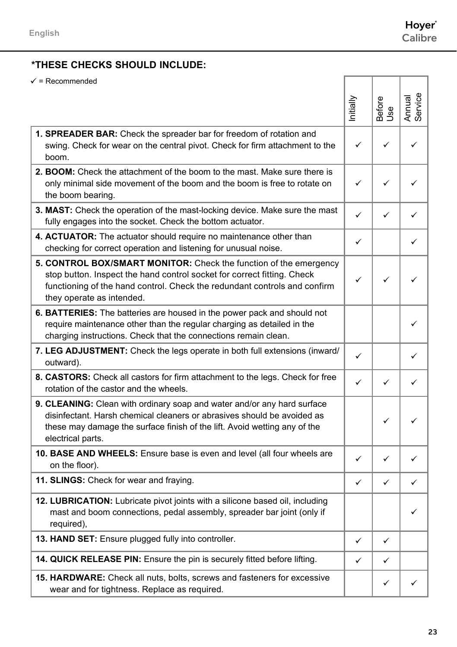٦

 $\Box$ 

 $\overline{\phantom{0}}$ 

┬

### **\*These checks should include:**

 $\checkmark$  = Recommended

|                                                                                                                                                                                                                                                        | lnitially    | Before<br>Use | Annual<br>Service |
|--------------------------------------------------------------------------------------------------------------------------------------------------------------------------------------------------------------------------------------------------------|--------------|---------------|-------------------|
| 1. SPREADER BAR: Check the spreader bar for freedom of rotation and<br>swing. Check for wear on the central pivot. Check for firm attachment to the<br>boom.                                                                                           | ✓            | ✓             | ✓                 |
| 2. BOOM: Check the attachment of the boom to the mast. Make sure there is<br>only minimal side movement of the boom and the boom is free to rotate on<br>the boom bearing.                                                                             | ✓            | ✓             | ✓                 |
| 3. MAST: Check the operation of the mast-locking device. Make sure the mast<br>fully engages into the socket. Check the bottom actuator.                                                                                                               | ✓            | ✓             | ✓                 |
| 4. ACTUATOR: The actuator should require no maintenance other than<br>checking for correct operation and listening for unusual noise.                                                                                                                  | ✓            |               | ✓                 |
| 5. CONTROL BOX/SMART MONITOR: Check the function of the emergency<br>stop button. Inspect the hand control socket for correct fitting. Check<br>functioning of the hand control. Check the redundant controls and confirm<br>they operate as intended. | ✓            | ✓             | ✓                 |
| 6. BATTERIES: The batteries are housed in the power pack and should not<br>require maintenance other than the regular charging as detailed in the<br>charging instructions. Check that the connections remain clean.                                   |              |               | ✓                 |
| 7. LEG ADJUSTMENT: Check the legs operate in both full extensions (inward/<br>outward).                                                                                                                                                                | $\checkmark$ |               | ✓                 |
| 8. CASTORS: Check all castors for firm attachment to the legs. Check for free<br>rotation of the castor and the wheels.                                                                                                                                | ✓            | $\checkmark$  | ✓                 |
| 9. CLEANING: Clean with ordinary soap and water and/or any hard surface<br>disinfectant. Harsh chemical cleaners or abrasives should be avoided as<br>these may damage the surface finish of the lift. Avoid wetting any of the<br>electrical parts.   |              | ✓             | ✓                 |
| <b>10. BASE AND WHEELS:</b> Ensure base is even and level (all four wheels are<br>on the floor).                                                                                                                                                       | ✓            | ✓             | ✓                 |
| 11. SLINGS: Check for wear and fraying.                                                                                                                                                                                                                | ✓            | ✓             | ✓                 |
| 12. LUBRICATION: Lubricate pivot joints with a silicone based oil, including<br>mast and boom connections, pedal assembly, spreader bar joint (only if<br>required),                                                                                   |              |               | ✓                 |
| 13. HAND SET: Ensure plugged fully into controller.                                                                                                                                                                                                    | ✓            | ✓             |                   |
| <b>14. QUICK RELEASE PIN:</b> Ensure the pin is securely fitted before lifting.                                                                                                                                                                        |              | ✓             |                   |
| 15. HARDWARE: Check all nuts, bolts, screws and fasteners for excessive<br>wear and for tightness. Replace as required.                                                                                                                                |              | ✓             | ✓                 |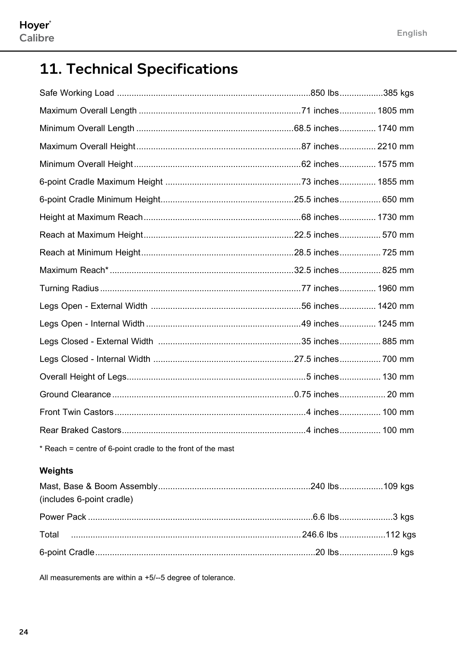# 11. Technical Specifications

| * Reach = centre of 6-point cradle to the front of the mast |  |
|-------------------------------------------------------------|--|
| Weights                                                     |  |
| (includes 6-point cradle)                                   |  |
|                                                             |  |
| Total                                                       |  |
|                                                             |  |

All measurements are within a +5/--5 degree of tolerance.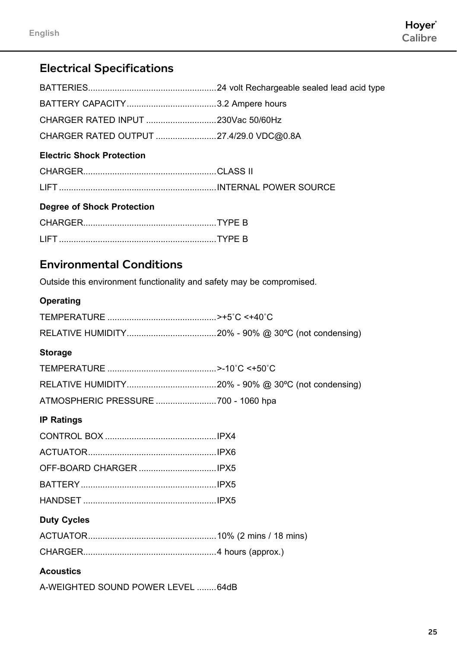### Electrical Specifications

| CHARGER RATED OUTPUT 27.4/29.0 VDC@0.8A |  |  |
|-----------------------------------------|--|--|
| <b>Electric Shock Protection</b>        |  |  |
|                                         |  |  |
|                                         |  |  |
| <b>Degree of Shock Protection</b>       |  |  |

### Environmental Conditions

Outside this environment functionality and safety may be compromised.

### **Operating**

#### **Storage**

#### **IP Ratings**

### **Duty Cycles**

### **Acoustics**

A-WEIGHTED SOUND POWER LEVEL ........64dB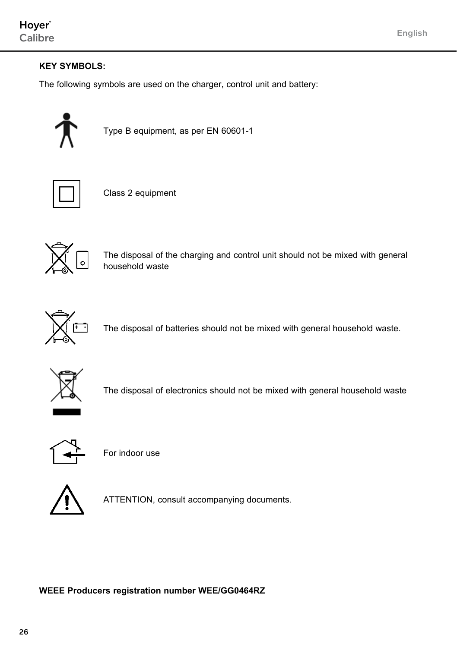#### **KEY SYMBOLS:**

The following symbols are used on the charger, control unit and battery:



Type B equipment, as per EN 60601-1



Class 2 equipment



The disposal of the charging and control unit should not be mixed with general household waste



The disposal of batteries should not be mixed with general household waste.



The disposal of electronics should not be mixed with general household waste



For indoor use



ATTENTION, consult accompanying documents.

**WEEE Producers registration number WEE/GG0464RZ**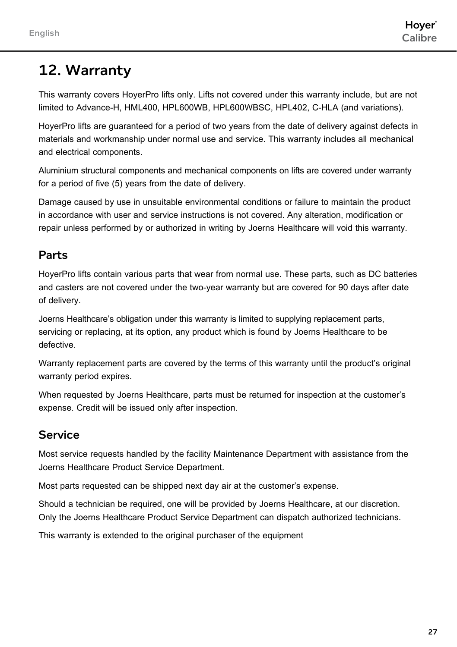# 12. Warranty

This warranty covers HoyerPro lifts only. Lifts not covered under this warranty include, but are not limited to Advance-H, HML400, HPL600WB, HPL600WBSC, HPL402, C-HLA (and variations).

HoyerPro lifts are guaranteed for a period of two years from the date of delivery against defects in materials and workmanship under normal use and service. This warranty includes all mechanical and electrical components.

Aluminium structural components and mechanical components on lifts are covered under warranty for a period of five (5) years from the date of delivery.

Damage caused by use in unsuitable environmental conditions or failure to maintain the product in accordance with user and service instructions is not covered. Any alteration, modification or repair unless performed by or authorized in writing by Joerns Healthcare will void this warranty.

### Parts

HoyerPro lifts contain various parts that wear from normal use. These parts, such as DC batteries and casters are not covered under the two-year warranty but are covered for 90 days after date of delivery.

Joerns Healthcare's obligation under this warranty is limited to supplying replacement parts, servicing or replacing, at its option, any product which is found by Joerns Healthcare to be defective.

Warranty replacement parts are covered by the terms of this warranty until the product's original warranty period expires.

When requested by Joerns Healthcare, parts must be returned for inspection at the customer's expense. Credit will be issued only after inspection.

## Service

Most service requests handled by the facility Maintenance Department with assistance from the Joerns Healthcare Product Service Department.

Most parts requested can be shipped next day air at the customer's expense.

Should a technician be required, one will be provided by Joerns Healthcare, at our discretion. Only the Joerns Healthcare Product Service Department can dispatch authorized technicians.

This warranty is extended to the original purchaser of the equipment